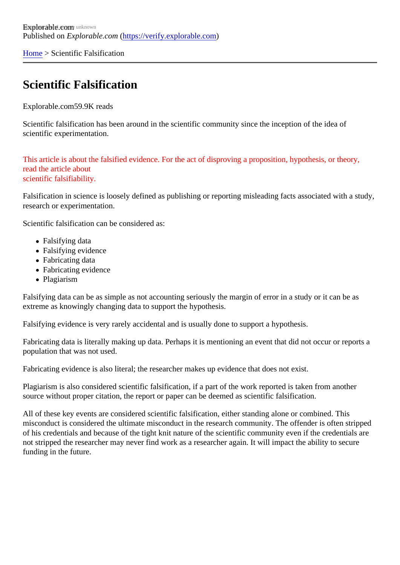[Home](https://verify.explorable.com/)> Scientific Falsification

## Scientific Falsification

Explorable.cor69.9K reads

Scientific falsification has been around in the scientific community since the inception of the idea of scientific experimentation.

This article is about the falsified evidence. For the act of disproving a proposition, hypothesis, or theory, read the article about scientific falsifiability.

Falsification in science is loosely defined as publishing or reporting misleading facts associated with a stud research or experimentation.

Scientific falsification can be considered as:

- Falsifying data
- Falsifying evidence
- Fabricating data
- Fabricating evidence
- Plagiarism

Falsifying data can be as simple as not accounting seriously the margin of error in a study or it can be as extreme as knowingly changing data to support the hypothesis.

Falsifying evidence is very rarely accidental and is usually done to support a hypothesis.

Fabricating data is literally making up data. Perhaps it is mentioning an event that did not occur or reports a population that was not used.

Fabricating evidence is also literal; the researcher makes up evidence that does not exist.

Plagiarism is also considered scientific falsification, if a part of the work reported is taken from another source without proper citation, the report or paper can be deemed as scientific falsification.

All of these key events are considered scientific falsification, either standing alone or combined. This misconduct is considered the ultimate misconduct in the research community. The offender is often stripped of his credentials and because of the tight knit nature of the scientific community even if the credentials are not stripped the researcher may never find work as a researcher again. It will impact the ability to secure funding in the future.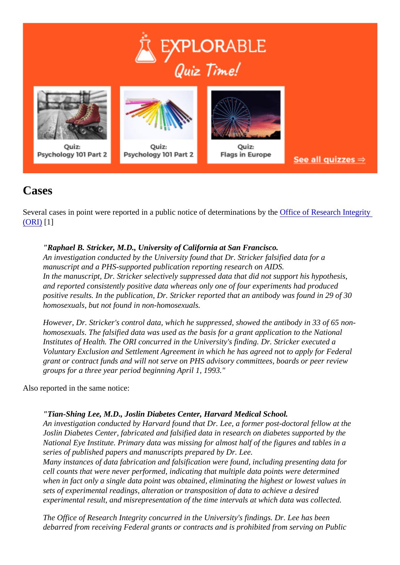## Cases

Several cases in point were reported in a public notice of determinations **Offiche** Of Research Integrity [\(ORI\)](http://grants.nih.gov/grants/guide/notice-files/not93-177) [1]

"Raphael B. Stricker, M.D., University of California at San Francisco. An investigation conducted by the University found that Dr. Stricker falsified data for a manuscript and a PHS-supported publication reporting research on AIDS. In the manuscript, Dr. Stricker selectively suppressed data that did not support his hypothesis, and reported consistently positive data whereas only one of four experiments had produced positive results. In the publication, Dr. Stricker reported that an antibody was found in 29 of 30 homosexuals, but not found in non-homosexuals.

However, Dr. Stricker's control data, which he suppressed, showed the antibody in 33 of 65 nonhomosexuals. The falsified data was used as the basis for a grant application to the National Institutes of Health. The ORI concurred in the University's finding. Dr. Stricker executed a Voluntary Exclusion and Settlement Agreement in which he has agreed not to apply for Federal grant or contract funds and will not serve on PHS advisory committees, boards or peer review groups for a three year period beginning April 1, 1993."

Also reported in the same notice:

"Tian-Shing Lee, M.D., Joslin Diabetes Center, Harvard Medical School.

An investigation conducted by Harvard found that Dr. Lee, a former post-doctoral fellow at the Joslin Diabetes Center, fabricated and falsified data in research on diabetes supported by the National Eye Institute. Primary data was missing for almost half of the figures and tables in a series of published papers and manuscripts prepared by Dr. Lee.

Many instances of data fabrication and falsification were found, including presenting data for cell counts that were never performed, indicating that multiple data points were determined when in fact only a single data point was obtained, eliminating the highest or lowest values in sets of experimental readings, alteration or transposition of data to achieve a desired experimental result, and misrepresentation of the time intervals at which data was collected.

The Office of Research Integrity concurred in the University's findings. Dr. Lee has been debarred from receiving Federal grants or contracts and is prohibited from serving on Public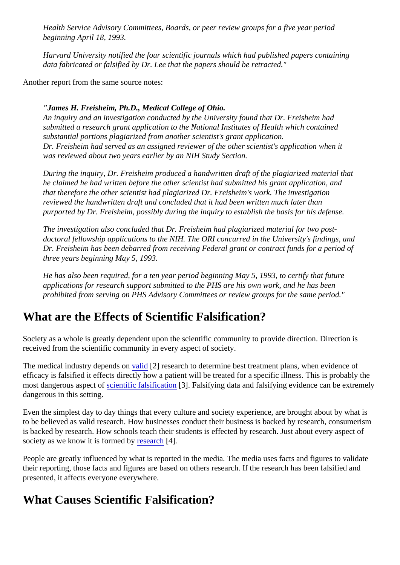Health Service Advisory Committees, Boards, or peer review groups for a five year period beginning April 18, 1993.

Harvard University notified the four scientific journals which had published papers containing data fabricated or falsified by Dr. Lee that the papers should be retracted."

Another report from the same source notes:

"James H. Freisheim, Ph.D., Medical College of Ohio.

An inquiry and an investigation conducted by the University found that Dr. Freisheim had submitted a research grant application to the National Institutes of Health which contained substantial portions plagiarized from another scientist's grant application. Dr. Freisheim had served as an assigned reviewer of the other scientist's application when it was reviewed about two years earlier by an NIH Study Section.

During the inquiry, Dr. Freisheim produced a handwritten draft of the plagiarized material that he claimed he had written before the other scientist had submitted his grant application, and that therefore the other scientist had plagiarized Dr. Freisheim's work. The investigation reviewed the handwritten draft and concluded that it had been written much later than purported by Dr. Freisheim, possibly during the inquiry to establish the basis for his defense.

The investigation also concluded that Dr. Freisheim had plagiarized material for two postdoctoral fellowship applications to the NIH. The ORI concurred in the University's findings, and Dr. Freisheim has been debarred from receiving Federal grant or contract funds for a period of three years beginning May 5, 1993.

He has also been required, for a ten year period beginning May 5, 1993, to certify that future applications for research support submitted to the PHS are his own work, and he has been prohibited from serving on PHS Advisory Committees or review groups for the same period."

## What are the Effects of Scientific Falsification?

Society as a whole is greatly dependent upon the scientific community to provide direction. Direction is received from the scientific community in every aspect of society.

The medical industry depends [on valid](https://verify.explorable.com/validity-and-reliability) [2] research to determine best treatment plans, when evidence of efficacy is falsified it effects directly how a patient will be treated for a specific illness. This is probably the most dangerous aspects of entitic falsification<sup>[3]</sup>. Falsifying data and falsifying evidence can be extremely dangerous in this setting.

Even the simplest day to day things that every culture and society experience, are brought about by what to be believed as valid research. How businesses conduct their business is backed by research, consume is backed by research. How schools teach their students is effected by research. Just about every aspect society as we know it is formed by search[4].

People are greatly influenced by what is reported in the media. The media uses facts and figures to valida their reporting, those facts and figures are based on others research. If the research has been falsified and presented, it affects everyone everywhere.

## What Causes Scientific Falsification?